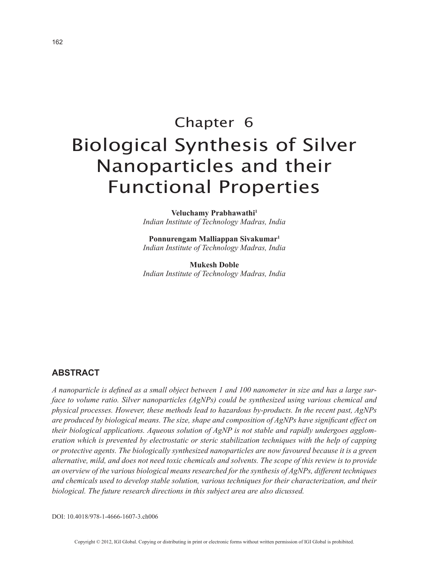# Chapter 6 Biological Synthesis of Silver Nanoparticles and their Functional Properties

**Veluchamy Prabhawathi1** *Indian Institute of Technology Madras, India*

**Ponnurengam Malliappan Sivakumar1** *Indian Institute of Technology Madras, India*

**Mukesh Doble** *Indian Institute of Technology Madras, India*

## **ABSTRACT**

*A nanoparticle is defined as a small object between 1 and 100 nanometer in size and has a large surface to volume ratio. Silver nanoparticles (AgNPs) could be synthesized using various chemical and physical processes. However, these methods lead to hazardous by-products. In the recent past, AgNPs are produced by biological means. The size, shape and composition of AgNPs have significant effect on their biological applications. Aqueous solution of AgNP is not stable and rapidly undergoes agglomeration which is prevented by electrostatic or steric stabilization techniques with the help of capping or protective agents. The biologically synthesized nanoparticles are now favoured because it is a green alternative, mild, and does not need toxic chemicals and solvents. The scope of this review is to provide an overview of the various biological means researched for the synthesis of AgNPs, different techniques and chemicals used to develop stable solution, various techniques for their characterization, and their biological. The future research directions in this subject area are also dicussed.*

DOI: 10.4018/978-1-4666-1607-3.ch006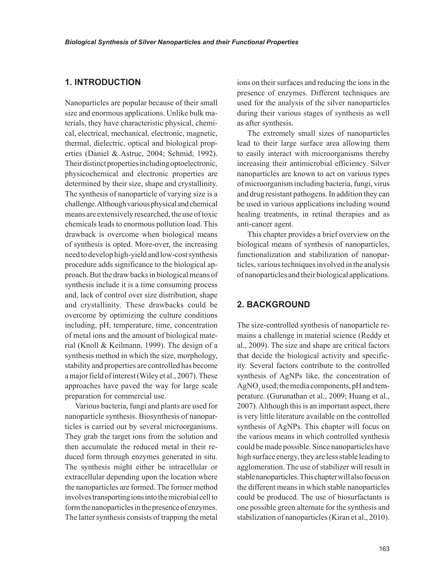## **1. INTRODUCTION**

Nanoparticles are popular because of their small size and enormous applications. Unlike bulk materials, they have characteristic physical, chemical, electrical, mechanical, electronic, magnetic, thermal, dielectric, optical and biological properties (Daniel & Astruc, 2004; Schmid, 1992). Their distinct properties including optoelectronic, physicochemical and electronic properties are determined by their size, shape and crystallinity. The synthesis of nanoparticle of varying size is a challenge. Although various physical and chemical means are extensively researched, the use of toxic chemicals leads to enormous pollution load. This drawback is overcome when biological means of synthesis is opted. More-over, the increasing need to develop high-yield and low-cost synthesis procedure adds significance to the biological approach. But the draw backs in biological means of synthesis include it is a time consuming process and, lack of control over size distribution, shape and crystallinity. These drawbacks could be overcome by optimizing the culture conditions including, pH, temperature, time, concentration of metal ions and the amount of biological material (Knoll & Keilmann, 1999). The design of a synthesis method in which the size, morphology, stability and properties are controlled has become a major field of interest (Wiley et al., 2007). These approaches have paved the way for large scale preparation for commercial use.

Various bacteria, fungi and plants are used for nanoparticle synthesis. Biosynthesis of nanoparticles is carried out by several microorganisms. They grab the target ions from the solution and then accumulate the reduced metal in their reduced form through enzymes generated in situ. The synthesis might either be intracellular or extracellular depending upon the location where the nanoparticles are formed. The former method involves transporting ions into the microbial cell to form the nanoparticles in the presence of enzymes. The latter synthesis consists of trapping the metal ions on their surfaces and reducing the ions in the presence of enzymes. Different techniques are used for the analysis of the silver nanoparticles during their various stages of synthesis as well as after synthesis.

The extremely small sizes of nanoparticles lead to their large surface area allowing them to easily interact with microorganisms thereby increasing their antimicrobial efficiency. Silver nanoparticles are known to act on various types of microorganism including bacteria, fungi, virus and drug resistant pathogens. In addition they can be used in various applications including wound healing treatments, in retinal therapies and as anti-cancer agent.

This chapter provides a brief overview on the biological means of synthesis of nanoparticles, functionalization and stabilization of nanoparticles, various techniques involved in the analysis of nanoparticles and their biological applications.

## **2. BACKGROUND**

The size-controlled synthesis of nanoparticle remains a challenge in material science (Reddy et al., 2009). The size and shape are critical factors that decide the biological activity and specificity. Several factors contribute to the controlled synthesis of AgNPs like, the concentration of  $\mathrm{AgNO}_3$  used; the media components, pH and temperature. (Gurunathan et al., 2009; Huang et al., 2007). Although this is an important aspect, there is very little literature available on the controlled synthesis of AgNPs. This chapter will focus on the various means in which controlled synthesis could be made possible. Since nanoparticles have high surface energy, they are less stable leading to agglomeration. The use of stabilizer will result in stable nanoparticles. This chapter will also focus on the different means in which stable nanoparticles could be produced. The use of biosurfactants is one possible green alternate for the synthesis and stabilization of nanoparticles (Kiran et al., 2010).